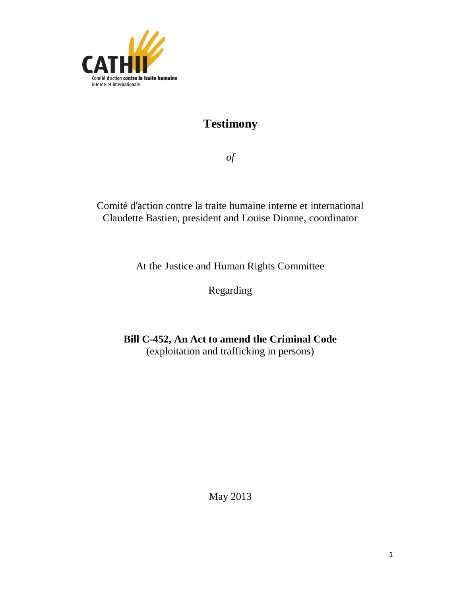

# **Testimony**

*of*

Comité d'action contre la traite humaine interne et international Claudette Bastien, president and Louise Dionne, coordinator

At the Justice and Human Rights Committee

Regarding

**Bill C-452, An Act to amend the Criminal Code** (exploitation and trafficking in persons)

May 2013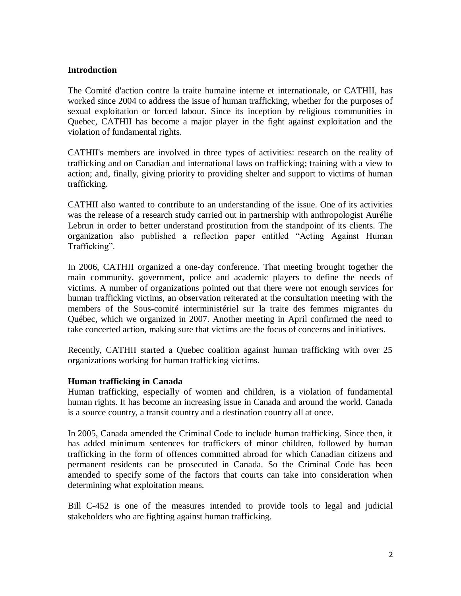## **Introduction**

The Comité d'action contre la traite humaine interne et internationale, or CATHII, has worked since 2004 to address the issue of human trafficking, whether for the purposes of sexual exploitation or forced labour. Since its inception by religious communities in Quebec, CATHII has become a major player in the fight against exploitation and the violation of fundamental rights.

CATHII's members are involved in three types of activities: research on the reality of trafficking and on Canadian and international laws on trafficking; training with a view to action; and, finally, giving priority to providing shelter and support to victims of human trafficking.

CATHII also wanted to contribute to an understanding of the issue. One of its activities was the release of a research study carried out in partnership with anthropologist Aurélie Lebrun in order to better understand prostitution from the standpoint of its clients. The organization also published a reflection paper entitled "Acting Against Human Trafficking".

In 2006, CATHII organized a one-day conference. That meeting brought together the main community, government, police and academic players to define the needs of victims. A number of organizations pointed out that there were not enough services for human trafficking victims, an observation reiterated at the consultation meeting with the members of the Sous-comité interministériel sur la traite des femmes migrantes du Québec, which we organized in 2007. Another meeting in April confirmed the need to take concerted action, making sure that victims are the focus of concerns and initiatives.

Recently, CATHII started a Quebec coalition against human trafficking with over 25 organizations working for human trafficking victims.

### **Human trafficking in Canada**

Human trafficking, especially of women and children, is a violation of fundamental human rights. It has become an increasing issue in Canada and around the world. Canada is a source country, a transit country and a destination country all at once.

In 2005, Canada amended the Criminal Code to include human trafficking. Since then, it has added minimum sentences for traffickers of minor children, followed by human trafficking in the form of offences committed abroad for which Canadian citizens and permanent residents can be prosecuted in Canada. So the Criminal Code has been amended to specify some of the factors that courts can take into consideration when determining what exploitation means.

Bill C-452 is one of the measures intended to provide tools to legal and judicial stakeholders who are fighting against human trafficking.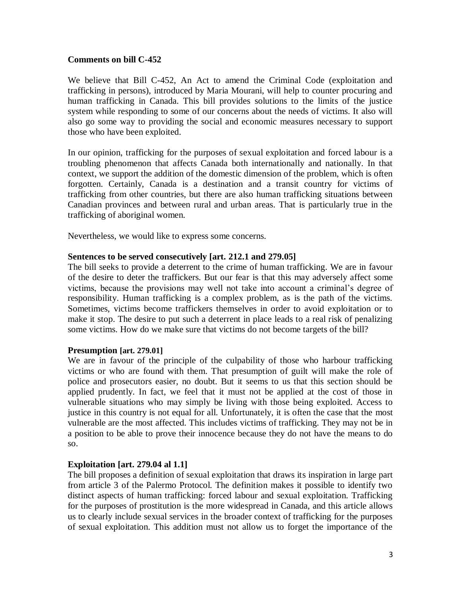### **Comments on bill C-452**

We believe that Bill C-452, An Act to amend the Criminal Code (exploitation and trafficking in persons), introduced by Maria Mourani, will help to counter procuring and human trafficking in Canada. This bill provides solutions to the limits of the justice system while responding to some of our concerns about the needs of victims. It also will also go some way to providing the social and economic measures necessary to support those who have been exploited.

In our opinion, trafficking for the purposes of sexual exploitation and forced labour is a troubling phenomenon that affects Canada both internationally and nationally. In that context, we support the addition of the domestic dimension of the problem, which is often forgotten. Certainly, Canada is a destination and a transit country for victims of trafficking from other countries, but there are also human trafficking situations between Canadian provinces and between rural and urban areas. That is particularly true in the trafficking of aboriginal women.

Nevertheless, we would like to express some concerns.

### **Sentences to be served consecutively [art. 212.1 and 279.05]**

The bill seeks to provide a deterrent to the crime of human trafficking. We are in favour of the desire to deter the traffickers. But our fear is that this may adversely affect some victims, because the provisions may well not take into account a criminal's degree of responsibility. Human trafficking is a complex problem, as is the path of the victims. Sometimes, victims become traffickers themselves in order to avoid exploitation or to make it stop. The desire to put such a deterrent in place leads to a real risk of penalizing some victims. How do we make sure that victims do not become targets of the bill?

### **Presumption [art. 279.01]**

We are in favour of the principle of the culpability of those who harbour trafficking victims or who are found with them. That presumption of guilt will make the role of police and prosecutors easier, no doubt. But it seems to us that this section should be applied prudently. In fact, we feel that it must not be applied at the cost of those in vulnerable situations who may simply be living with those being exploited. Access to justice in this country is not equal for all. Unfortunately, it is often the case that the most vulnerable are the most affected. This includes victims of trafficking. They may not be in a position to be able to prove their innocence because they do not have the means to do so.

### **Exploitation [art. 279.04 al 1.1]**

The bill proposes a definition of sexual exploitation that draws its inspiration in large part from article 3 of the Palermo Protocol. The definition makes it possible to identify two distinct aspects of human trafficking: forced labour and sexual exploitation. Trafficking for the purposes of prostitution is the more widespread in Canada, and this article allows us to clearly include sexual services in the broader context of trafficking for the purposes of sexual exploitation. This addition must not allow us to forget the importance of the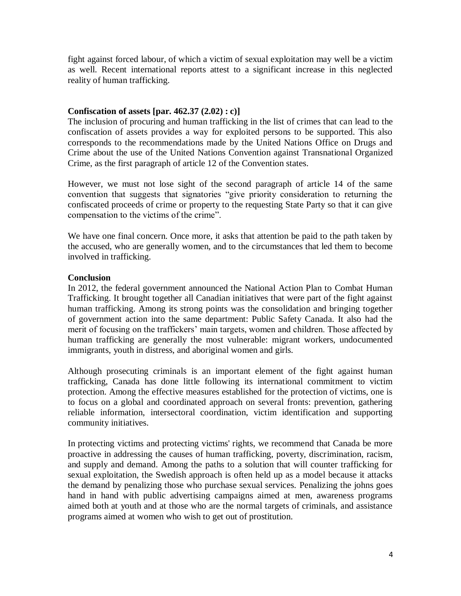fight against forced labour, of which a victim of sexual exploitation may well be a victim as well. Recent international reports attest to a significant increase in this neglected reality of human trafficking.

## **Confiscation of assets [par. 462.37 (2.02) : c)]**

The inclusion of procuring and human trafficking in the list of crimes that can lead to the confiscation of assets provides a way for exploited persons to be supported. This also corresponds to the recommendations made by the United Nations Office on Drugs and Crime about the use of the United Nations Convention against Transnational Organized Crime, as the first paragraph of article 12 of the Convention states.

However, we must not lose sight of the second paragraph of article 14 of the same convention that suggests that signatories "give priority consideration to returning the confiscated proceeds of crime or property to the requesting State Party so that it can give compensation to the victims of the crime".

We have one final concern. Once more, it asks that attention be paid to the path taken by the accused, who are generally women, and to the circumstances that led them to become involved in trafficking.

## **Conclusion**

In 2012, the federal government announced the National Action Plan to Combat Human Trafficking. It brought together all Canadian initiatives that were part of the fight against human trafficking. Among its strong points was the consolidation and bringing together of government action into the same department: Public Safety Canada. It also had the merit of focusing on the traffickers' main targets, women and children. Those affected by human trafficking are generally the most vulnerable: migrant workers, undocumented immigrants, youth in distress, and aboriginal women and girls.

Although prosecuting criminals is an important element of the fight against human trafficking, Canada has done little following its international commitment to victim protection. Among the effective measures established for the protection of victims, one is to focus on a global and coordinated approach on several fronts: prevention, gathering reliable information, intersectoral coordination, victim identification and supporting community initiatives.

In protecting victims and protecting victims' rights, we recommend that Canada be more proactive in addressing the causes of human trafficking, poverty, discrimination, racism, and supply and demand. Among the paths to a solution that will counter trafficking for sexual exploitation, the Swedish approach is often held up as a model because it attacks the demand by penalizing those who purchase sexual services. Penalizing the johns goes hand in hand with public advertising campaigns aimed at men, awareness programs aimed both at youth and at those who are the normal targets of criminals, and assistance programs aimed at women who wish to get out of prostitution.